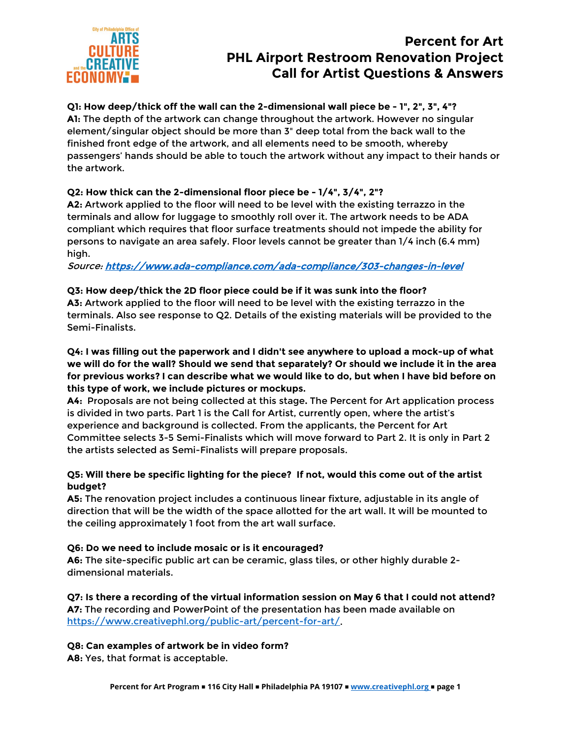

#### **Q1: How deep/thick off the wall can the 2-dimensional wall piece be - 1", 2", 3", 4"? A1:** The depth of the artwork can change throughout the artwork. However no singular element/singular object should be more than 3" deep total from the back wall to the finished front edge of the artwork, and all elements need to be smooth, whereby passengers' hands should be able to touch the artwork without any impact to their hands or the artwork.

## **Q2: How thick can the 2-dimensional floor piece be - 1/4", 3/4", 2"?**

**A2:** Artwork applied to the floor will need to be level with the existing terrazzo in the terminals and allow for luggage to smoothly roll over it. The artwork needs to be ADA compliant which requires that floor surface treatments should not impede the ability for persons to navigate an area safely. Floor levels cannot be greater than 1/4 inch (6.4 mm) high.

Source:<https://www.ada-compliance.com/ada-compliance/303-changes-in-level>

## **Q3: How deep/thick the 2D floor piece could be if it was sunk into the floor?**

**A3:** Artwork applied to the floor will need to be level with the existing terrazzo in the terminals. Also see response to Q2. Details of the existing materials will be provided to the Semi-Finalists.

**Q4: I was filling out the paperwork and I didn't see anywhere to upload a mock-up of what we will do for the wall? Should we send that separately? Or should we include it in the area for previous works? I can describe what we would like to do, but when I have bid before on this type of work, we include pictures or mockups.**

**A4:** Proposals are not being collected at this stage**.** The Percent for Art application process is divided in two parts. Part 1 is the Call for Artist, currently open, where the artist's experience and background is collected. From the applicants, the Percent for Art Committee selects 3-5 Semi-Finalists which will move forward to Part 2. It is only in Part 2 the artists selected as Semi-Finalists will prepare proposals.

### **Q5: Will there be specific lighting for the piece? If not, would this come out of the artist budget?**

**A5:** The renovation project includes a continuous linear fixture, adjustable in its angle of direction that will be the width of the space allotted for the art wall. It will be mounted to the ceiling approximately 1 foot from the art wall surface.

#### **Q6: Do we need to include mosaic or is it encouraged?**

**A6:** The site-specific public art can be ceramic, glass tiles, or other highly durable 2 dimensional materials.

**Q7: Is there a recording of the virtual information session on May 6 that I could not attend? A7:** The recording and PowerPoint of the presentation has been made available on [https://www.creativephl.org/public-art/percent-for-art/.](https://www.creativephl.org/public-art/percent-for-art/)

## **Q8: Can examples of artwork be in video form?**

**A8:** Yes, that format is acceptable.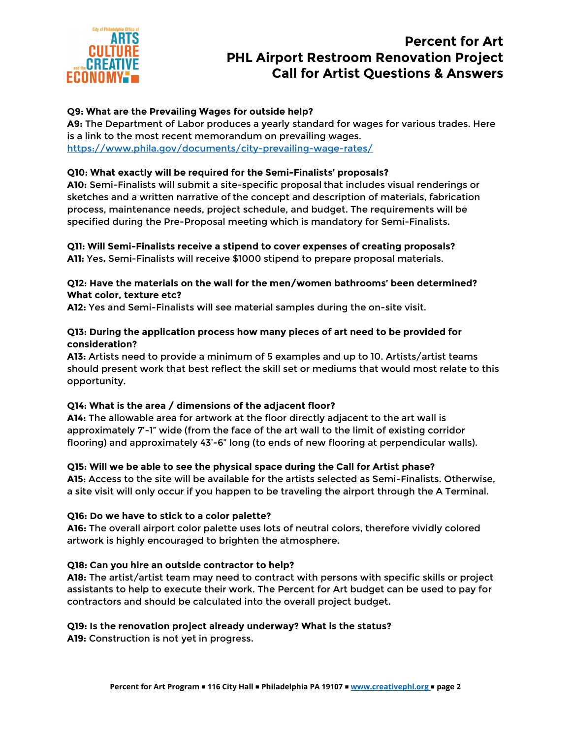

### **Q9: What are the Prevailing Wages for outside help?**

**A9:** The Department of Labor produces a yearly standard for wages for various trades. Here is a link to the most recent memorandum on prevailing wages. <https://www.phila.gov/documents/city-prevailing-wage-rates/>

#### **Q10: What exactly will be required for the Semi-Finalists' proposals?**

**A10:** Semi-Finalists will submit a site-specific proposal that includes visual renderings or sketches and a written narrative of the concept and description of materials, fabrication process, maintenance needs, project schedule, and budget. The requirements will be specified during the Pre-Proposal meeting which is mandatory for Semi-Finalists.

## **Q11: Will Semi-Finalists receive a stipend to cover expenses of creating proposals?**

**A11:** Yes**.** Semi-Finalists will receive \$1000 stipend to prepare proposal materials.

#### **Q12: Have the materials on the wall for the men/women bathrooms' been determined? What color, texture etc?**

**A12:** Yes and Semi-Finalists will see material samples during the on-site visit.

#### **Q13: During the application process how many pieces of art need to be provided for consideration?**

**A13:** Artists need to provide a minimum of 5 examples and up to 10. Artists/artist teams should present work that best reflect the skill set or mediums that would most relate to this opportunity.

#### **Q14: What is the area / dimensions of the adjacent floor?**

**A14:** The allowable area for artwork at the floor directly adjacent to the art wall is approximately 7'-1" wide (from the face of the art wall to the limit of existing corridor flooring) and approximately 43'-6" long (to ends of new flooring at perpendicular walls).

#### **Q15: Will we be able to see the physical space during the Call for Artist phase?**

**A15**: Access to the site will be available for the artists selected as Semi-Finalists. Otherwise, a site visit will only occur if you happen to be traveling the airport through the A Terminal.

#### **Q16: Do we have to stick to a color palette?**

**A16:** The overall airport color palette uses lots of neutral colors, therefore vividly colored artwork is highly encouraged to brighten the atmosphere.

#### **Q18: Can you hire an outside contractor to help?**

**A18:** The artist/artist team may need to contract with persons with specific skills or project assistants to help to execute their work. The Percent for Art budget can be used to pay for contractors and should be calculated into the overall project budget.

#### **Q19: Is the renovation project already underway? What is the status?**

**A19:** Construction is not yet in progress.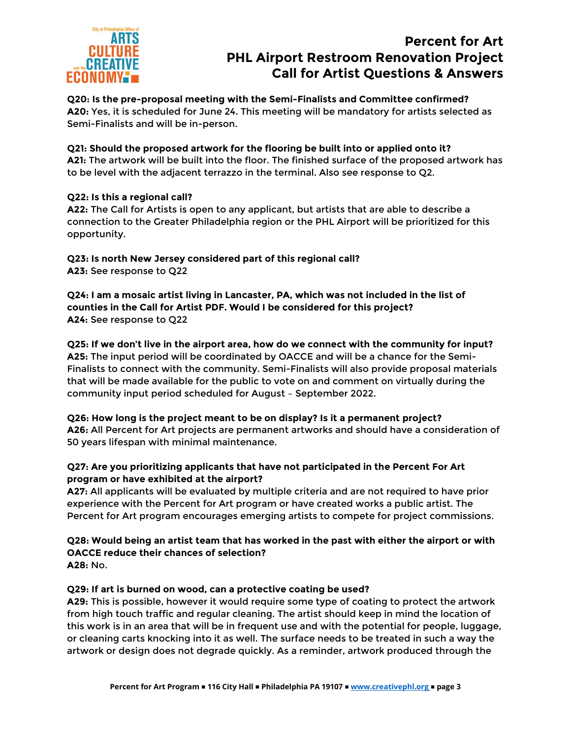

**Q20: Is the pre-proposal meeting with the Semi-Finalists and Committee confirmed? A20:** Yes, it is scheduled for June 24. This meeting will be mandatory for artists selected as Semi-Finalists and will be in-person.

**Q21: Should the proposed artwork for the flooring be built into or applied onto it? A21:** The artwork will be built into the floor. The finished surface of the proposed artwork has to be level with the adjacent terrazzo in the terminal. Also see response to Q2.

### **Q22: Is this a regional call?**

**A22:** The Call for Artists is open to any applicant, but artists that are able to describe a connection to the Greater Philadelphia region or the PHL Airport will be prioritized for this opportunity.

**Q23: Is north New Jersey considered part of this regional call? A23:** See response to Q22

**Q24: I am a mosaic artist living in Lancaster, PA, which was not included in the list of counties in the Call for Artist PDF. Would I be considered for this project? A24:** See response to Q22

**Q25: If we don't live in the airport area, how do we connect with the community for input? A25:** The input period will be coordinated by OACCE and will be a chance for the Semi-Finalists to connect with the community. Semi-Finalists will also provide proposal materials that will be made available for the public to vote on and comment on virtually during the community input period scheduled for August – September 2022.

**Q26: How long is the project meant to be on display? Is it a permanent project? A26:** All Percent for Art projects are permanent artworks and should have a consideration of 50 years lifespan with minimal maintenance.

#### **Q27: Are you prioritizing applicants that have not participated in the Percent For Art program or have exhibited at the airport?**

**A27:** All applicants will be evaluated by multiple criteria and are not required to have prior experience with the Percent for Art program or have created works a public artist. The Percent for Art program encourages emerging artists to compete for project commissions.

#### **Q28: Would being an artist team that has worked in the past with either the airport or with OACCE reduce their chances of selection? A28:** No.

#### **Q29: If art is burned on wood, can a protective coating be used?**

**A29:** This is possible, however it would require some type of coating to protect the artwork from high touch traffic and regular cleaning. The artist should keep in mind the location of this work is in an area that will be in frequent use and with the potential for people, luggage, or cleaning carts knocking into it as well. The surface needs to be treated in such a way the artwork or design does not degrade quickly. As a reminder, artwork produced through the